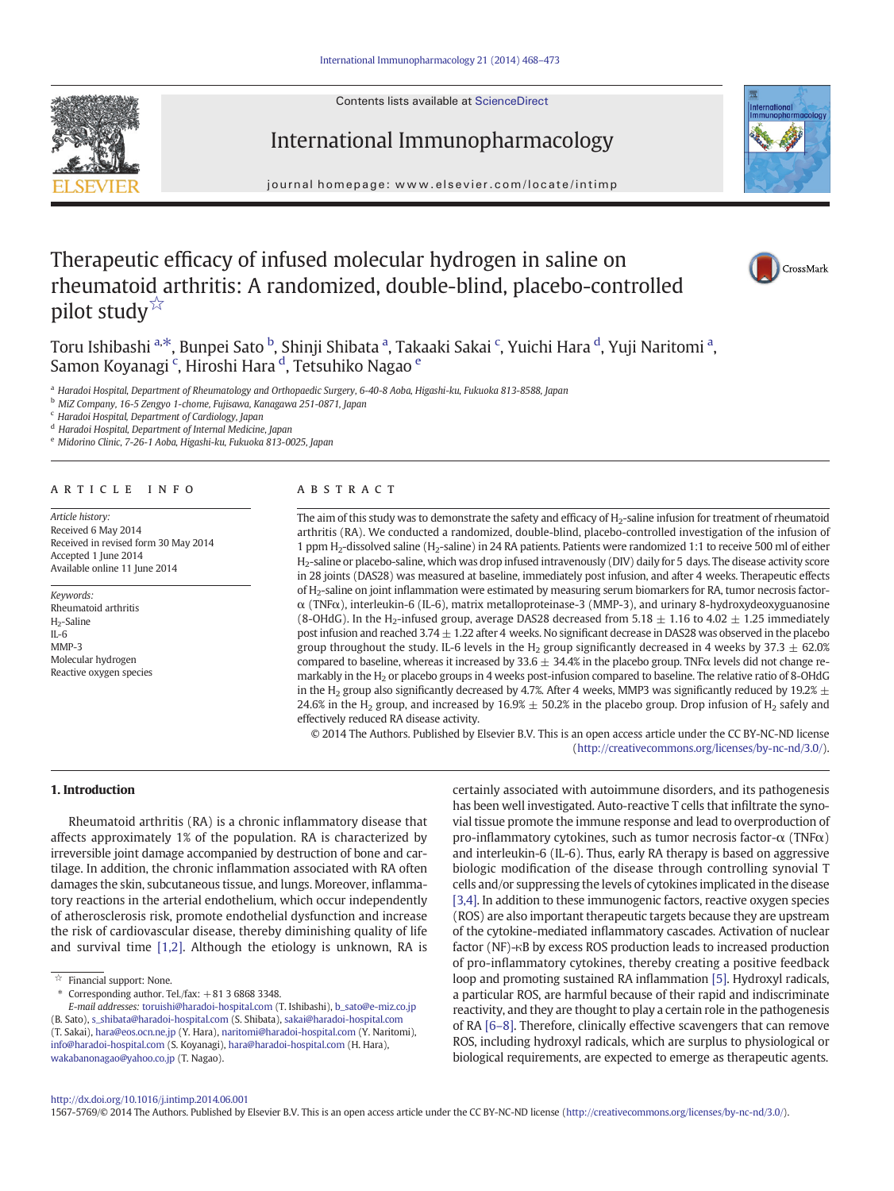Contents lists available at ScienceDirect

International Immunopharmacology





journal homepage: www.elsevier.com/locate/intimp

# Therapeutic efficacy of infused molecular hydrogen in saline on rheumatoid arthritis: A randomized, double-blind, placebo-controlled pilot study<sup>☆</sup>



Toru Ishibashi <sup>a,\*</sup>, Bunpei Sato <sup>b</sup>, Shinji Shibata <sup>a</sup>, Takaaki Sakai <sup>c</sup>, Yuichi Hara <sup>d</sup>, Yuji Naritomi <sup>a</sup>, Samon Koyanagi <sup>c</sup>, Hiroshi Hara <sup>d</sup>, Tetsuhiko Nagao <sup>e</sup>

<sup>a</sup> Haradoi Hospital, Department of Rheumatology and Orthopaedic Surgery, 6-40-8 Aoba, Higashi-ku, Fukuoka 813-8588, Japan

<sup>b</sup> MiZ Company, 16-5 Zengyo 1-chome, Fujisawa, Kanagawa 251-0871, Japan

<sup>c</sup> Haradoi Hospital, Department of Cardiology, Japan

<sup>d</sup> Haradoi Hospital, Department of Internal Medicine, Japan

<sup>e</sup> Midorino Clinic, 7-26-1 Aoba, Higashi-ku, Fukuoka 813-0025, Japan

# article info abstract

Article history: Received 6 May 2014 Received in revised form 30 May 2014 Accepted 1 June 2014 Available online 11 June 2014

Keywords: Rheumatoid arthritis H<sub>2</sub>-Saline IL-6 MMP-3 Molecular hydrogen Reactive oxygen species

The aim of this study was to demonstrate the safety and efficacy of H<sub>2</sub>-saline infusion for treatment of rheumatoid arthritis (RA). We conducted a randomized, double-blind, placebo-controlled investigation of the infusion of 1 ppm H2-dissolved saline (H2-saline) in 24 RA patients. Patients were randomized 1:1 to receive 500 ml of either H2-saline or placebo-saline, which was drop infused intravenously (DIV) daily for 5 days. The disease activity score in 28 joints (DAS28) was measured at baseline, immediately post infusion, and after 4 weeks. Therapeutic effects of H2-saline on joint inflammation were estimated by measuring serum biomarkers for RA, tumor necrosis factorα (TNFα), interleukin-6 (IL-6), matrix metalloproteinase-3 (MMP-3), and urinary 8-hydroxydeoxyguanosine (8-OHdG). In the H<sub>2</sub>-infused group, average DAS28 decreased from 5.18  $\pm$  1.16 to 4.02  $\pm$  1.25 immediately post infusion and reached 3.74  $\pm$  1.22 after 4 weeks. No significant decrease in DAS28 was observed in the placebo group throughout the study. IL-6 levels in the H<sub>2</sub> group significantly decreased in 4 weeks by 37.3  $\pm$  62.0% compared to baseline, whereas it increased by 33.6  $\pm$  34.4% in the placebo group. TNF $\alpha$  levels did not change remarkably in the H2 or placebo groups in 4 weeks post-infusion compared to baseline. The relative ratio of 8-OHdG in the H<sub>2</sub> group also significantly decreased by 4.7%. After 4 weeks, MMP3 was significantly reduced by 19.2%  $\pm$ 24.6% in the H<sub>2</sub> group, and increased by 16.9%  $\pm$  50.2% in the placebo group. Drop infusion of H<sub>2</sub> safely and effectively reduced RA disease activity.

© 2014 The Authors. Published by Elsevier B.V. This is an open access article under the CC BY-NC-ND license (<http://creativecommons.org/licenses/by-nc-nd/3.0/>).

#### 1. Introduction

Rheumatoid arthritis (RA) is a chronic inflammatory disease that affects approximately 1% of the population. RA is characterized by irreversible joint damage accompanied by destruction of bone and cartilage. In addition, the chronic inflammation associated with RA often damages the skin, subcutaneous tissue, and lungs. Moreover, inflammatory reactions in the arterial endothelium, which occur independently of atherosclerosis risk, promote endothelial dysfunction and increase the risk of cardiovascular disease, thereby diminishing quality of life and survival time [\[1,2\].](#page-5-0) Although the etiology is unknown, RA is

 $*$  Corresponding author. Tel./fax:  $+81368683348$ .

certainly associated with autoimmune disorders, and its pathogenesis has been well investigated. Auto-reactive T cells that infiltrate the synovial tissue promote the immune response and lead to overproduction of pro-inflammatory cytokines, such as tumor necrosis factor- $\alpha$  (TNF $\alpha$ ) and interleukin-6 (IL-6). Thus, early RA therapy is based on aggressive biologic modification of the disease through controlling synovial T cells and/or suppressing the levels of cytokines implicated in the disease [\[3,4\].](#page-5-0) In addition to these immunogenic factors, reactive oxygen species (ROS) are also important therapeutic targets because they are upstream of the cytokine-mediated inflammatory cascades. Activation of nuclear factor (NF)-κB by excess ROS production leads to increased production of pro-inflammatory cytokines, thereby creating a positive feedback loop and promoting sustained RA inflammation [\[5\]](#page-5-0). Hydroxyl radicals, a particular ROS, are harmful because of their rapid and indiscriminate reactivity, and they are thought to play a certain role in the pathogenesis of RA [\[6](#page-5-0)–8]. Therefore, clinically effective scavengers that can remove ROS, including hydroxyl radicals, which are surplus to physiological or biological requirements, are expected to emerge as therapeutic agents.

#### <http://dx.doi.org/10.1016/j.intimp.2014.06.001>

1567-5769/© 2014 The Authors. Published by Elsevier B.V. This is an open access article under the CC BY-NC-ND license [\(http://creativecommons.org/licenses/by-nc-nd/3.0/\)](http://creativecommons.org/licenses/by-nc-nd/3.0/).

 $\overrightarrow{a}$  Financial support: None.

E-mail addresses: [toruishi@haradoi-hospital.com](mailto:toruishi@haradoi-hospital.com) (T. Ishibashi), [b\\_sato@e-miz.co.jp](mailto:b_sato@e-miz.co.jp) (B. Sato), [s\\_shibata@haradoi-hospital.com](mailto:s_shibata@haradoi-hospital.com) (S. Shibata), [sakai@haradoi-hospital.com](mailto:sakai@haradoi-hospital.com) (T. Sakai), [hara@eos.ocn.ne.jp](mailto:hara@eos.ocn.ne.jp) (Y. Hara), [naritomi@haradoi-hospital.com](mailto:naritomi@haradoi-hospital.com) (Y. Naritomi), [info@haradoi-hospital.com](mailto:info@haradoi-hospital.com) (S. Koyanagi), [hara@haradoi-hospital.com](mailto:hara@haradoi-hospital.com) (H. Hara), [wakabanonagao@yahoo.co.jp](mailto:wakabanonagao@yahoo.co.jp) (T. Nagao).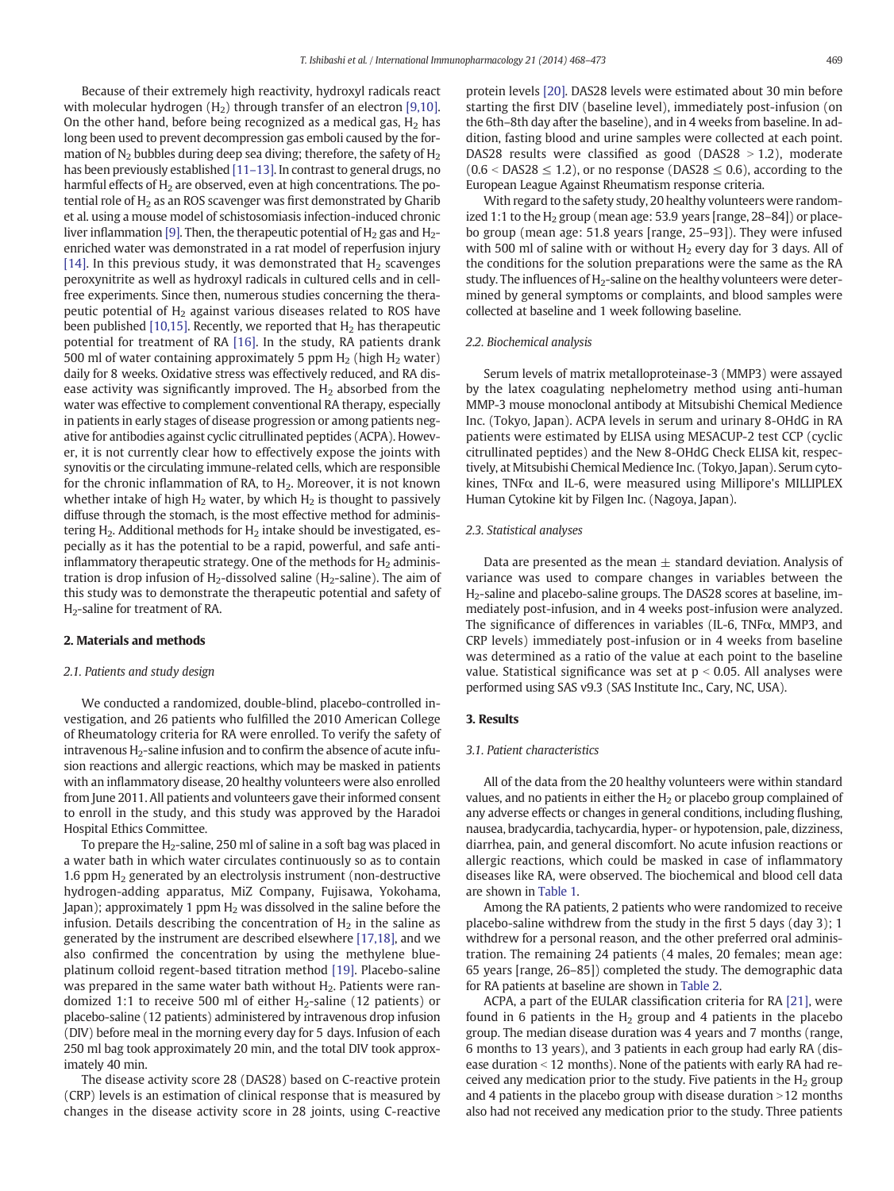Because of their extremely high reactivity, hydroxyl radicals react with molecular hydrogen  $(H<sub>2</sub>)$  through transfer of an electron [\[9,10\].](#page-5-0) On the other hand, before being recognized as a medical gas,  $H_2$  has long been used to prevent decompression gas emboli caused by the formation of  $N<sub>2</sub>$  bubbles during deep sea diving; therefore, the safety of  $H<sub>2</sub>$ has been previously established [\[11](#page-5-0)-13]. In contrast to general drugs, no harmful effects of  $H_2$  are observed, even at high concentrations. The potential role of  $H<sub>2</sub>$  as an ROS scavenger was first demonstrated by Gharib et al. using a mouse model of schistosomiasis infection-induced chronic liver inflammation [\[9\].](#page-5-0) Then, the therapeutic potential of  $H_2$  gas and  $H_2$ enriched water was demonstrated in a rat model of reperfusion injury [\[14\]](#page-5-0). In this previous study, it was demonstrated that  $H_2$  scavenges peroxynitrite as well as hydroxyl radicals in cultured cells and in cellfree experiments. Since then, numerous studies concerning the therapeutic potential of  $H_2$  against various diseases related to ROS have been published [\[10,15\].](#page-5-0) Recently, we reported that  $H_2$  has therapeutic potential for treatment of RA [\[16\]](#page-5-0). In the study, RA patients drank 500 ml of water containing approximately 5 ppm  $H<sub>2</sub>$  (high  $H<sub>2</sub>$  water) daily for 8 weeks. Oxidative stress was effectively reduced, and RA disease activity was significantly improved. The  $H_2$  absorbed from the water was effective to complement conventional RA therapy, especially in patients in early stages of disease progression or among patients negative for antibodies against cyclic citrullinated peptides (ACPA). However, it is not currently clear how to effectively expose the joints with synovitis or the circulating immune-related cells, which are responsible for the chronic inflammation of RA, to  $H<sub>2</sub>$ . Moreover, it is not known whether intake of high  $H_2$  water, by which  $H_2$  is thought to passively diffuse through the stomach, is the most effective method for administering  $H_2$ . Additional methods for  $H_2$  intake should be investigated, especially as it has the potential to be a rapid, powerful, and safe antiinflammatory therapeutic strategy. One of the methods for  $H_2$  administration is drop infusion of  $H_2$ -dissolved saline ( $H_2$ -saline). The aim of this study was to demonstrate the therapeutic potential and safety of H2-saline for treatment of RA.

#### 2. Materials and methods

#### 2.1. Patients and study design

We conducted a randomized, double-blind, placebo-controlled investigation, and 26 patients who fulfilled the 2010 American College of Rheumatology criteria for RA were enrolled. To verify the safety of  $intravenous H<sub>2</sub>-saline infusion and to confirm the absence of acute infu$ sion reactions and allergic reactions, which may be masked in patients with an inflammatory disease, 20 healthy volunteers were also enrolled from June 2011. All patients and volunteers gave their informed consent to enroll in the study, and this study was approved by the Haradoi Hospital Ethics Committee.

To prepare the  $H_2$ -saline, 250 ml of saline in a soft bag was placed in a water bath in which water circulates continuously so as to contain 1.6 ppm H<sub>2</sub> generated by an electrolysis instrument (non-destructive hydrogen-adding apparatus, MiZ Company, Fujisawa, Yokohama, Japan); approximately 1 ppm  $H_2$  was dissolved in the saline before the infusion. Details describing the concentration of  $H_2$  in the saline as generated by the instrument are described elsewhere [\[17,18\],](#page-5-0) and we also confirmed the concentration by using the methylene blueplatinum colloid regent-based titration method [\[19\]](#page-5-0). Placebo-saline was prepared in the same water bath without  $H_2$ . Patients were randomized 1:1 to receive 500 ml of either  $H_2$ -saline (12 patients) or placebo-saline (12 patients) administered by intravenous drop infusion (DIV) before meal in the morning every day for 5 days. Infusion of each 250 ml bag took approximately 20 min, and the total DIV took approximately 40 min.

The disease activity score 28 (DAS28) based on C-reactive protein (CRP) levels is an estimation of clinical response that is measured by changes in the disease activity score in 28 joints, using C-reactive protein levels [\[20\].](#page-5-0) DAS28 levels were estimated about 30 min before starting the first DIV (baseline level), immediately post-infusion (on the 6th–8th day after the baseline), and in 4 weeks from baseline. In addition, fasting blood and urine samples were collected at each point. DAS28 results were classified as good (DAS28  $> 1.2$ ), moderate  $(0.6 <$  DAS28  $\leq$  1.2), or no response (DAS28  $\leq$  0.6), according to the European League Against Rheumatism response criteria.

With regard to the safety study, 20 healthy volunteers were randomized 1:1 to the  $H_2$  group (mean age: 53.9 years [range, 28–84]) or placebo group (mean age: 51.8 years [range, 25–93]). They were infused with 500 ml of saline with or without  $H_2$  every day for 3 days. All of the conditions for the solution preparations were the same as the RA study. The influences of H<sub>2</sub>-saline on the healthy volunteers were determined by general symptoms or complaints, and blood samples were collected at baseline and 1 week following baseline.

### 2.2. Biochemical analysis

Serum levels of matrix metalloproteinase-3 (MMP3) were assayed by the latex coagulating nephelometry method using anti-human MMP-3 mouse monoclonal antibody at Mitsubishi Chemical Medience Inc. (Tokyo, Japan). ACPA levels in serum and urinary 8-OHdG in RA patients were estimated by ELISA using MESACUP-2 test CCP (cyclic citrullinated peptides) and the New 8-OHdG Check ELISA kit, respectively, at Mitsubishi Chemical Medience Inc. (Tokyo, Japan). Serum cytokines, TNF $\alpha$  and IL-6, were measured using Millipore's MILLIPLEX Human Cytokine kit by Filgen Inc. (Nagoya, Japan).

# 2.3. Statistical analyses

Data are presented as the mean  $\pm$  standard deviation. Analysis of variance was used to compare changes in variables between the H2-saline and placebo-saline groups. The DAS28 scores at baseline, immediately post-infusion, and in 4 weeks post-infusion were analyzed. The significance of differences in variables (IL-6, TNFα, MMP3, and CRP levels) immediately post-infusion or in 4 weeks from baseline was determined as a ratio of the value at each point to the baseline value. Statistical significance was set at  $p < 0.05$ . All analyses were performed using SAS v9.3 (SAS Institute Inc., Cary, NC, USA).

#### 3. Results

#### 3.1. Patient characteristics

All of the data from the 20 healthy volunteers were within standard values, and no patients in either the  $H<sub>2</sub>$  or placebo group complained of any adverse effects or changes in general conditions, including flushing, nausea, bradycardia, tachycardia, hyper- or hypotension, pale, dizziness, diarrhea, pain, and general discomfort. No acute infusion reactions or allergic reactions, which could be masked in case of inflammatory diseases like RA, were observed. The biochemical and blood cell data are shown in [Table 1](#page-2-0).

Among the RA patients, 2 patients who were randomized to receive placebo-saline withdrew from the study in the first 5 days (day 3); 1 withdrew for a personal reason, and the other preferred oral administration. The remaining 24 patients (4 males, 20 females; mean age: 65 years [range, 26–85]) completed the study. The demographic data for RA patients at baseline are shown in [Table 2](#page-2-0).

ACPA, a part of the EULAR classification criteria for RA [\[21\],](#page-5-0) were found in 6 patients in the  $H_2$  group and 4 patients in the placebo group. The median disease duration was 4 years and 7 months (range, 6 months to 13 years), and 3 patients in each group had early RA (disease duration  $<$  12 months). None of the patients with early RA had received any medication prior to the study. Five patients in the  $H<sub>2</sub>$  group and 4 patients in the placebo group with disease duration  $>12$  months also had not received any medication prior to the study. Three patients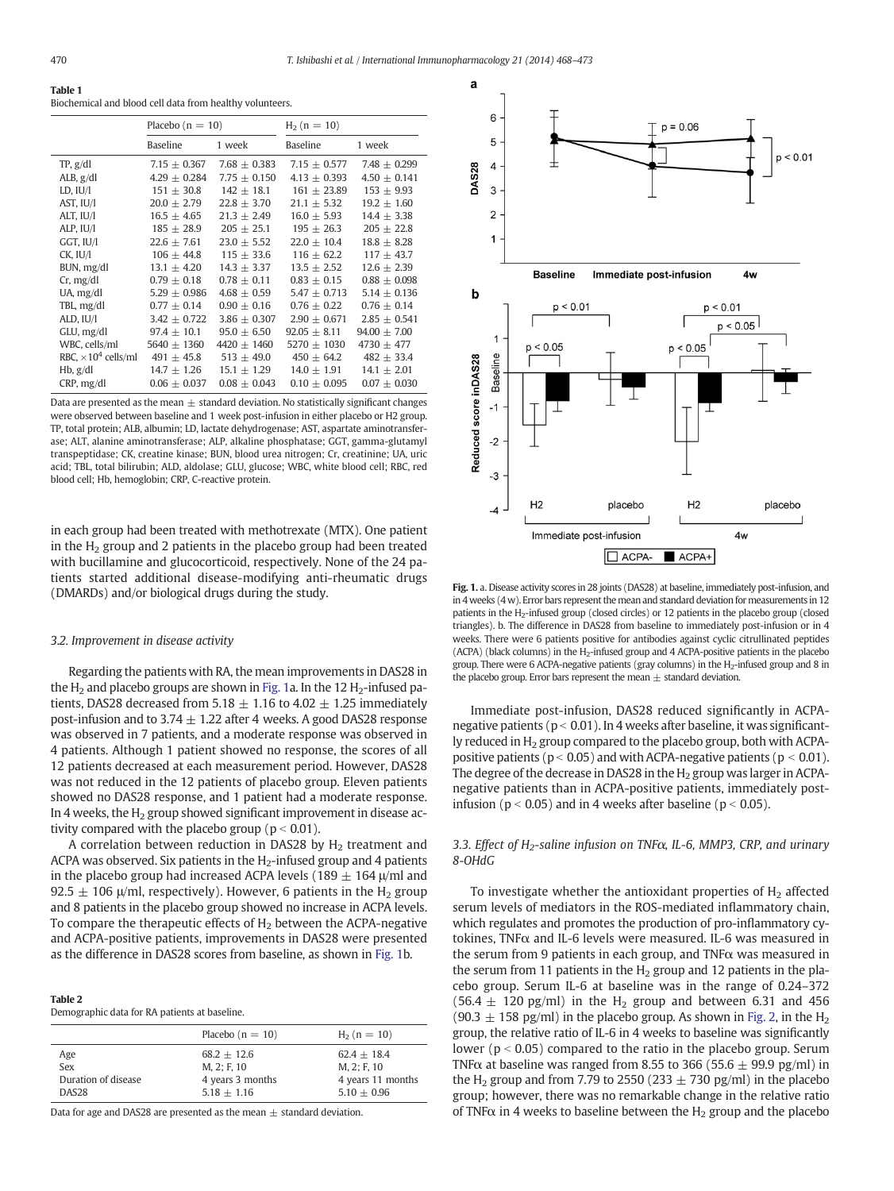<span id="page-2-0"></span>

| Table 1                                                  |
|----------------------------------------------------------|
| Biochemical and blood cell data from healthy volunteers. |

|                             | Placebo $(n = 10)$ |                  | $H_2$ (n = 10)   |                  |
|-----------------------------|--------------------|------------------|------------------|------------------|
|                             | Baseline           | 1 week           | Baseline         | 1 week           |
| TP, g/dl                    | $7.15 + 0.367$     | $7.68 + 0.383$   | $7.15 + 0.577$   | $7.48 + 0.299$   |
| ALB, g/dl                   | $4.29 \pm 0.284$   | $7.75 + 0.150$   | $4.13 + 0.393$   | $4.50 \pm 0.141$ |
| $LD$ , $IU/I$               | $151 + 30.8$       | $142 + 18.1$     | $161 + 23.89$    | $153 \pm 9.93$   |
| AST, IU/I                   | $20.0 \pm 2.79$    | $22.8 \pm 3.70$  | $21.1 \pm 5.32$  | $19.2 \pm 1.60$  |
| ALT, IU/I                   | $16.5 \pm 4.65$    | $21.3 + 2.49$    | $16.0 \pm 5.93$  | $14.4 \pm 3.38$  |
| ALP, IU/I                   | $185 \pm 28.9$     | $205 \pm 25.1$   | $195 \pm 26.3$   | $205 \pm 22.8$   |
| GGT, IU/I                   | $22.6 + 7.61$      | $23.0 + 5.52$    | $22.0 + 10.4$    | $18.8 \pm 8.28$  |
| CK, IU/I                    | $106 \pm 44.8$     | $115 \pm 33.6$   | $116 \pm 62.2$   | $117 \pm 43.7$   |
| BUN, mg/dl                  | $13.1 + 4.20$      | $14.3 + 3.37$    | $13.5 + 2.52$    | $12.6 \pm 2.39$  |
| Cr, mg/dl                   | $0.79 \pm 0.18$    | $0.78 + 0.11$    | $0.83 \pm 0.15$  | $0.88 \pm 0.098$ |
| UA, mg/dl                   | $5.29 \pm 0.986$   | $4.68 \pm 0.59$  | $5.47 \pm 0.713$ | $5.14 \pm 0.136$ |
| TBL, mg/dl                  | $0.77 + 0.14$      | $0.90 + 0.16$    | $0.76 \pm 0.22$  | $0.76 + 0.14$    |
| ALD, IU/I                   | $3.42 \pm 0.722$   | $3.86 \pm 0.307$ | $2.90 \pm 0.671$ | $2.85 \pm 0.541$ |
| GLU, mg/dl                  | $97.4 \pm 10.1$    | $95.0 \pm 6.50$  | $92.05 \pm 8.11$ | $94.00 \pm 7.00$ |
| WBC, cells/ml               | $5640 \pm 1360$    | $4420 \pm 1460$  | 5270 $\pm$ 1030  | 4730 $\pm$ 477   |
| RBC, $\times 10^4$ cells/ml | $491 + 45.8$       | $513 + 49.0$     | $450 \pm 64.2$   | $482 \pm 33.4$   |
| Hb, g/dl                    | $14.7 \pm 1.26$    | $15.1 \pm 1.29$  | $14.0 \pm 1.91$  | $14.1 \pm 2.01$  |
| CRP, mg/dl                  | $0.06 \pm 0.037$   | $0.08 \pm 0.043$ | $0.10 \pm 0.095$ | $0.07 \pm 0.030$ |

Data are presented as the mean  $+$  standard deviation. No statistically significant changes were observed between baseline and 1 week post-infusion in either placebo or H2 group. TP, total protein; ALB, albumin; LD, lactate dehydrogenase; AST, aspartate aminotransferase; ALT, alanine aminotransferase; ALP, alkaline phosphatase; GGT, gamma-glutamyl transpeptidase; CK, creatine kinase; BUN, blood urea nitrogen; Cr, creatinine; UA, uric acid; TBL, total bilirubin; ALD, aldolase; GLU, glucose; WBC, white blood cell; RBC, red blood cell; Hb, hemoglobin; CRP, C-reactive protein.

in each group had been treated with methotrexate (MTX). One patient in the  $H_2$  group and 2 patients in the placebo group had been treated with bucillamine and glucocorticoid, respectively. None of the 24 patients started additional disease-modifying anti-rheumatic drugs (DMARDs) and/or biological drugs during the study.

# 3.2. Improvement in disease activity

Regarding the patients with RA, the mean improvements in DAS28 in the  $H<sub>2</sub>$  and placebo groups are shown in Fig. 1a. In the 12  $H<sub>2</sub>$ -infused patients, DAS28 decreased from 5.18  $\pm$  1.16 to 4.02  $\pm$  1.25 immediately post-infusion and to 3.74  $\pm$  1.22 after 4 weeks. A good DAS28 response was observed in 7 patients, and a moderate response was observed in 4 patients. Although 1 patient showed no response, the scores of all 12 patients decreased at each measurement period. However, DAS28 was not reduced in the 12 patients of placebo group. Eleven patients showed no DAS28 response, and 1 patient had a moderate response. In 4 weeks, the  $H<sub>2</sub>$  group showed significant improvement in disease activity compared with the placebo group ( $p < 0.01$ ).

A correlation between reduction in DAS28 by  $H<sub>2</sub>$  treatment and ACPA was observed. Six patients in the  $H_2$ -infused group and 4 patients in the placebo group had increased ACPA levels (189  $\pm$  164  $\mu$ /ml and 92.5  $\pm$  106  $\mu$ /ml, respectively). However, 6 patients in the H<sub>2</sub> group and 8 patients in the placebo group showed no increase in ACPA levels. To compare the therapeutic effects of  $H_2$  between the ACPA-negative and ACPA-positive patients, improvements in DAS28 were presented as the difference in DAS28 scores from baseline, as shown in Fig. 1b.

### Table 2

Demographic data for RA patients at baseline.

|                     | Placebo $(n = 10)$ | $H_2$ (n = 10)    |
|---------------------|--------------------|-------------------|
| Age                 | $68.2 + 12.6$      | $62.4 + 18.4$     |
| Sex                 | M. 2: F. 10        | M, 2; F, 10       |
| Duration of disease | 4 years 3 months   | 4 years 11 months |
| DAS <sub>28</sub>   | $5.18 + 1.16$      | $5.10 + 0.96$     |

Data for age and DAS28 are presented as the mean  $\pm$  standard deviation.



Fig. 1. a. Disease activity scores in 28 joints (DAS28) at baseline, immediately post-infusion, and in 4 weeks (4 w). Error bars represent the mean and standard deviation for measurements in 12 patients in the H2-infused group (closed circles) or 12 patients in the placebo group (closed triangles). b. The difference in DAS28 from baseline to immediately post-infusion or in 4 weeks. There were 6 patients positive for antibodies against cyclic citrullinated peptides (ACPA) (black columns) in the H2-infused group and 4 ACPA-positive patients in the placebo group. There were 6 ACPA-negative patients (gray columns) in the  $H<sub>2</sub>$ -infused group and 8 in the placebo group. Error bars represent the mean  $\pm$  standard deviation.

Immediate post-infusion, DAS28 reduced significantly in ACPAnegative patients ( $p < 0.01$ ). In 4 weeks after baseline, it was significantly reduced in  $H_2$  group compared to the placebo group, both with ACPApositive patients ( $p < 0.05$ ) and with ACPA-negative patients ( $p < 0.01$ ). The degree of the decrease in DAS28 in the  $H_2$  group was larger in ACPAnegative patients than in ACPA-positive patients, immediately postinfusion ( $p < 0.05$ ) and in 4 weeks after baseline ( $p < 0.05$ ).

3.3. Effect of  $H_2$ -saline infusion on TNF $\alpha$ , IL-6, MMP3, CRP, and urinary 8-OHdG

To investigate whether the antioxidant properties of  $H_2$  affected serum levels of mediators in the ROS-mediated inflammatory chain, which regulates and promotes the production of pro-inflammatory cytokines, TNF $α$  and IL-6 levels were measured. IL-6 was measured in the serum from 9 patients in each group, and TNFα was measured in the serum from 11 patients in the  $H_2$  group and 12 patients in the placebo group. Serum IL-6 at baseline was in the range of 0.24–372  $(56.4 \pm 120 \text{ pg/ml})$  in the H<sub>2</sub> group and between 6.31 and 456  $(90.3 \pm 158 \text{ pg/ml})$  in the placebo group. As shown in [Fig. 2,](#page-3-0) in the H<sub>2</sub> group, the relative ratio of IL-6 in 4 weeks to baseline was significantly lower ( $p < 0.05$ ) compared to the ratio in the placebo group. Serum TNF $\alpha$  at baseline was ranged from 8.55 to 366 (55.6  $\pm$  99.9 pg/ml) in the H<sub>2</sub> group and from 7.79 to 2550 (233  $\pm$  730 pg/ml) in the placebo group; however, there was no remarkable change in the relative ratio of TNF $\alpha$  in 4 weeks to baseline between the H<sub>2</sub> group and the placebo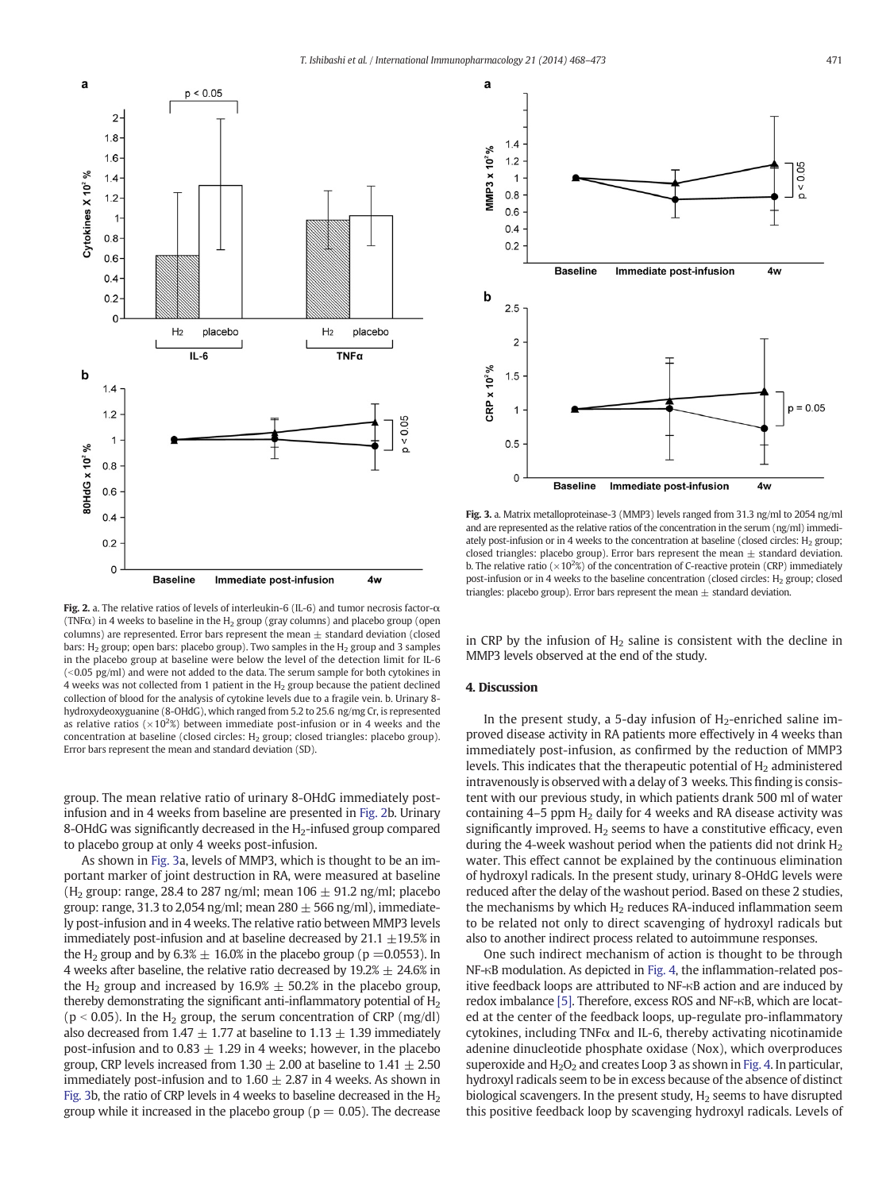<span id="page-3-0"></span>

Fig. 2. a. The relative ratios of levels of interleukin-6 (IL-6) and tumor necrosis factor-α (TNF $\alpha$ ) in 4 weeks to baseline in the H<sub>2</sub> group (gray columns) and placebo group (open columns) are represented. Error bars represent the mean  $\pm$  standard deviation (closed bars:  $H_2$  group; open bars: placebo group). Two samples in the  $H_2$  group and 3 samples in the placebo group at baseline were below the level of the detection limit for IL-6  $\approx$  ( $\approx$ 0.05 pg/ml) and were not added to the data. The serum sample for both cytokines in 4 weeks was not collected from 1 patient in the  $H_2$  group because the patient declined collection of blood for the analysis of cytokine levels due to a fragile vein. b. Urinary 8 hydroxydeoxyguanine (8-OHdG), which ranged from 5.2 to 25.6 ng/mg Cr, is represented as relative ratios ( $\times$ 10<sup>2</sup>%) between immediate post-infusion or in 4 weeks and the concentration at baseline (closed circles: H<sub>2</sub> group; closed triangles: placebo group). Error bars represent the mean and standard deviation (SD).

group. The mean relative ratio of urinary 8-OHdG immediately postinfusion and in 4 weeks from baseline are presented in Fig. 2b. Urinary 8-OHdG was significantly decreased in the  $H_2$ -infused group compared to placebo group at only 4 weeks post-infusion.

As shown in Fig. 3a, levels of MMP3, which is thought to be an important marker of joint destruction in RA, were measured at baseline (H<sub>2</sub> group: range, 28.4 to 287 ng/ml; mean  $106 \pm 91.2$  ng/ml; placebo group: range, 31.3 to 2,054 ng/ml; mean  $280 \pm 566$  ng/ml), immediately post-infusion and in 4 weeks. The relative ratio between MMP3 levels immediately post-infusion and at baseline decreased by 21.1  $\pm$ 19.5% in the H<sub>2</sub> group and by  $6.3\% \pm 16.0\%$  in the placebo group (p = 0.0553). In 4 weeks after baseline, the relative ratio decreased by  $19.2% \pm 24.6%$  in the H<sub>2</sub> group and increased by  $16.9% \pm 50.2%$  in the placebo group, thereby demonstrating the significant anti-inflammatory potential of  $H_2$ ( $p < 0.05$ ). In the H<sub>2</sub> group, the serum concentration of CRP (mg/dl) also decreased from 1.47  $\pm$  1.77 at baseline to 1.13  $\pm$  1.39 immediately post-infusion and to 0.83  $\pm$  1.29 in 4 weeks; however, in the placebo group, CRP levels increased from  $1.30 \pm 2.00$  at baseline to  $1.41 \pm 2.50$ immediately post-infusion and to  $1.60 \pm 2.87$  in 4 weeks. As shown in Fig. 3b, the ratio of CRP levels in 4 weeks to baseline decreased in the  $H_2$ group while it increased in the placebo group ( $p = 0.05$ ). The decrease



Fig. 3. a. Matrix metalloproteinase-3 (MMP3) levels ranged from 31.3 ng/ml to 2054 ng/ml and are represented as the relative ratios of the concentration in the serum (ng/ml) immediately post-infusion or in 4 weeks to the concentration at baseline (closed circles:  $H_2$  group; closed triangles: placebo group). Error bars represent the mean  $\pm$  standard deviation. b. The relative ratio ( $\times$ 10<sup>2</sup>%) of the concentration of C-reactive protein (CRP) immediately post-infusion or in 4 weeks to the baseline concentration (closed circles:  $H_2$  group; closed triangles: placebo group). Error bars represent the mean  $\pm$  standard deviation.

in CRP by the infusion of  $H_2$  saline is consistent with the decline in MMP3 levels observed at the end of the study.

#### 4. Discussion

In the present study, a 5-day infusion of  $H_2$ -enriched saline improved disease activity in RA patients more effectively in 4 weeks than immediately post-infusion, as confirmed by the reduction of MMP3 levels. This indicates that the therapeutic potential of  $H<sub>2</sub>$  administered intravenously is observed with a delay of 3 weeks. This finding is consistent with our previous study, in which patients drank 500 ml of water containing  $4-5$  ppm  $H<sub>2</sub>$  daily for 4 weeks and RA disease activity was significantly improved.  $H_2$  seems to have a constitutive efficacy, even during the 4-week washout period when the patients did not drink  $H_2$ water. This effect cannot be explained by the continuous elimination of hydroxyl radicals. In the present study, urinary 8-OHdG levels were reduced after the delay of the washout period. Based on these 2 studies, the mechanisms by which  $H_2$  reduces RA-induced inflammation seem to be related not only to direct scavenging of hydroxyl radicals but also to another indirect process related to autoimmune responses.

One such indirect mechanism of action is thought to be through NF-κB modulation. As depicted in [Fig. 4](#page-4-0), the inflammation-related positive feedback loops are attributed to NF-κB action and are induced by redox imbalance [\[5\]](#page-5-0). Therefore, excess ROS and NF-κB, which are located at the center of the feedback loops, up-regulate pro-inflammatory cytokines, including TNF $\alpha$  and IL-6, thereby activating nicotinamide adenine dinucleotide phosphate oxidase (Nox), which overproduces superoxide and  $H_2O_2$  and creates Loop 3 as shown in [Fig. 4](#page-4-0). In particular, hydroxyl radicals seem to be in excess because of the absence of distinct biological scavengers. In the present study,  $H_2$  seems to have disrupted this positive feedback loop by scavenging hydroxyl radicals. Levels of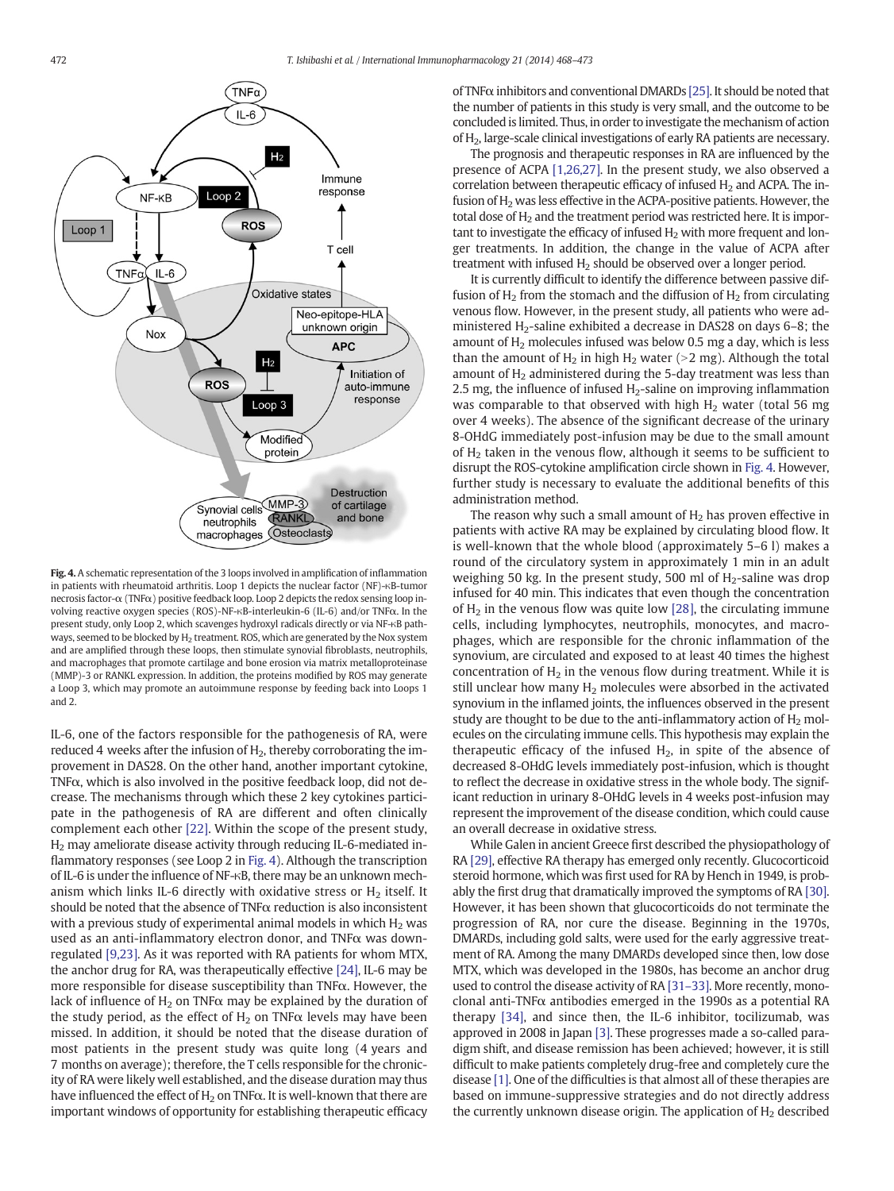<span id="page-4-0"></span>

Fig. 4. A schematic representation of the 3 loops involved in amplification of inflammation in patients with rheumatoid arthritis. Loop 1 depicts the nuclear factor (NF)-κB-tumor necrosis factor-α (TNFα) positive feedback loop. Loop 2 depicts the redox sensing loop involving reactive oxygen species (ROS)-NF-κB-interleukin-6 (IL-6) and/or TNFα. In the present study, only Loop 2, which scavenges hydroxyl radicals directly or via NF-κB pathways, seemed to be blocked by  $H_2$  treatment. ROS, which are generated by the Nox system and are amplified through these loops, then stimulate synovial fibroblasts, neutrophils, and macrophages that promote cartilage and bone erosion via matrix metalloproteinase (MMP)-3 or RANKL expression. In addition, the proteins modified by ROS may generate a Loop 3, which may promote an autoimmune response by feeding back into Loops 1 and 2.

IL-6, one of the factors responsible for the pathogenesis of RA, were reduced 4 weeks after the infusion of  $H_2$ , thereby corroborating the improvement in DAS28. On the other hand, another important cytokine, TNFα, which is also involved in the positive feedback loop, did not decrease. The mechanisms through which these 2 key cytokines participate in the pathogenesis of RA are different and often clinically complement each other [\[22\].](#page-5-0) Within the scope of the present study, H2 may ameliorate disease activity through reducing IL-6-mediated inflammatory responses (see Loop 2 in Fig. 4). Although the transcription of IL-6 is under the influence of NF-κB, there may be an unknown mechanism which links IL-6 directly with oxidative stress or  $H<sub>2</sub>$  itself. It should be noted that the absence of  $TNF\alpha$  reduction is also inconsistent with a previous study of experimental animal models in which  $H_2$  was used as an anti-inflammatory electron donor, and TNFα was downregulated [\[9,23\].](#page-5-0) As it was reported with RA patients for whom MTX, the anchor drug for RA, was therapeutically effective [\[24\],](#page-5-0) IL-6 may be more responsible for disease susceptibility than TNFα. However, the lack of influence of  $H_2$  on TNF $\alpha$  may be explained by the duration of the study period, as the effect of  $H_2$  on TNF $\alpha$  levels may have been missed. In addition, it should be noted that the disease duration of most patients in the present study was quite long (4 years and 7 months on average); therefore, the T cells responsible for the chronicity of RA were likely well established, and the disease duration may thus have influenced the effect of  $H_2$  on TNF $\alpha$ . It is well-known that there are important windows of opportunity for establishing therapeutic efficacy of TNFα inhibitors and conventional DMARDs [\[25\].](#page-5-0) It should be noted that the number of patients in this study is very small, and the outcome to be concluded is limited. Thus, in order to investigate the mechanism of action of H2, large-scale clinical investigations of early RA patients are necessary.

The prognosis and therapeutic responses in RA are influenced by the presence of ACPA [\[1,26,27\]](#page-5-0). In the present study, we also observed a correlation between therapeutic efficacy of infused  $H_2$  and ACPA. The infusion of  $H_2$  was less effective in the ACPA-positive patients. However, the total dose of  $H_2$  and the treatment period was restricted here. It is important to investigate the efficacy of infused  $H_2$  with more frequent and longer treatments. In addition, the change in the value of ACPA after treatment with infused  $H_2$  should be observed over a longer period.

It is currently difficult to identify the difference between passive diffusion of  $H_2$  from the stomach and the diffusion of  $H_2$  from circulating venous flow. However, in the present study, all patients who were administered  $H_2$ -saline exhibited a decrease in DAS28 on days 6–8; the amount of  $H_2$  molecules infused was below 0.5 mg a day, which is less than the amount of  $H_2$  in high  $H_2$  water ( $>$ 2 mg). Although the total amount of  $H<sub>2</sub>$  administered during the 5-day treatment was less than 2.5 mg, the influence of infused  $H_2$ -saline on improving inflammation was comparable to that observed with high  $H_2$  water (total 56 mg over 4 weeks). The absence of the significant decrease of the urinary 8-OHdG immediately post-infusion may be due to the small amount of H<sub>2</sub> taken in the venous flow, although it seems to be sufficient to disrupt the ROS-cytokine amplification circle shown in Fig. 4. However, further study is necessary to evaluate the additional benefits of this administration method.

The reason why such a small amount of  $H_2$  has proven effective in patients with active RA may be explained by circulating blood flow. It is well-known that the whole blood (approximately 5–6 l) makes a round of the circulatory system in approximately 1 min in an adult weighing 50 kg. In the present study, 500 ml of  $H_2$ -saline was drop infused for 40 min. This indicates that even though the concentration of  $H_2$  in the venous flow was quite low [\[28\]](#page-5-0), the circulating immune cells, including lymphocytes, neutrophils, monocytes, and macrophages, which are responsible for the chronic inflammation of the synovium, are circulated and exposed to at least 40 times the highest concentration of  $H<sub>2</sub>$  in the venous flow during treatment. While it is still unclear how many  $H_2$  molecules were absorbed in the activated synovium in the inflamed joints, the influences observed in the present study are thought to be due to the anti-inflammatory action of  $H_2$  molecules on the circulating immune cells. This hypothesis may explain the therapeutic efficacy of the infused  $H_2$ , in spite of the absence of decreased 8-OHdG levels immediately post-infusion, which is thought to reflect the decrease in oxidative stress in the whole body. The significant reduction in urinary 8-OHdG levels in 4 weeks post-infusion may represent the improvement of the disease condition, which could cause an overall decrease in oxidative stress.

While Galen in ancient Greece first described the physiopathology of RA [\[29\],](#page-5-0) effective RA therapy has emerged only recently. Glucocorticoid steroid hormone, which was first used for RA by Hench in 1949, is probably the first drug that dramatically improved the symptoms of RA [\[30\].](#page-5-0) However, it has been shown that glucocorticoids do not terminate the progression of RA, nor cure the disease. Beginning in the 1970s, DMARDs, including gold salts, were used for the early aggressive treatment of RA. Among the many DMARDs developed since then, low dose MTX, which was developed in the 1980s, has become an anchor drug used to control the disease activity of RA [31–[33\].](#page-5-0) More recently, monoclonal anti-TNF $\alpha$  antibodies emerged in the 1990s as a potential RA therapy [\[34\]](#page-5-0), and since then, the IL-6 inhibitor, tocilizumab, was approved in 2008 in Japan [\[3\]](#page-5-0). These progresses made a so-called paradigm shift, and disease remission has been achieved; however, it is still difficult to make patients completely drug-free and completely cure the disease [\[1\].](#page-5-0) One of the difficulties is that almost all of these therapies are based on immune-suppressive strategies and do not directly address the currently unknown disease origin. The application of  $H<sub>2</sub>$  described